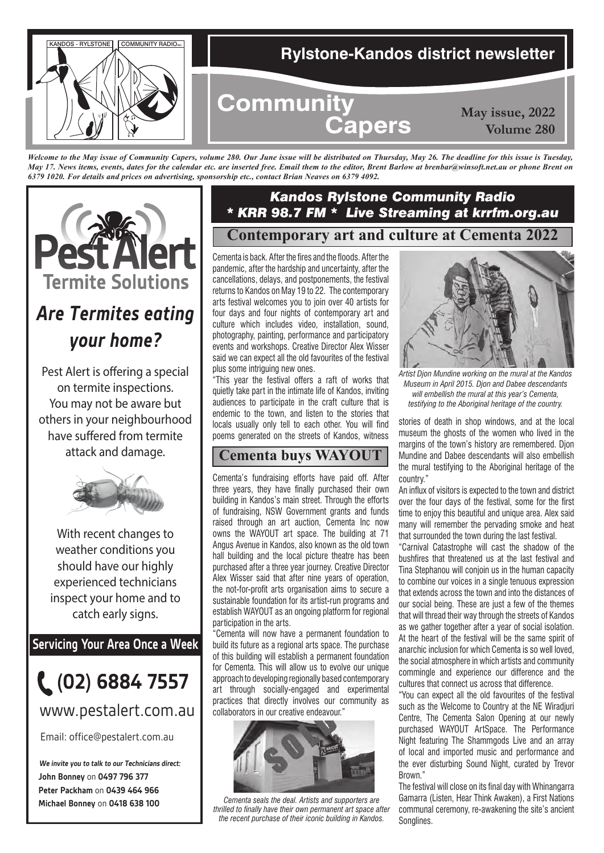

*Welcome to the May issue of Community Capers, volume 280. Our June issue will be distributed on Thursday, May 26. The deadline for this issue is Tuesday, May 17. News items, events, dates for the calendar etc. are inserted free. Email them to the editor, Brent Barlow at brenbar@winsoft.net.au or phone Brent on 6379 1020. For details and prices on advertising, sponsorship etc., contact Brian Neaves on 6379 4092.*



# *Are Termites eating your home?*

Pest Alert is offering a special on termite inspections. You may not be aware but others in your neighbourhood have suffered from termite attack and damage.



With recent changes to weather conditions you should have our highly experienced technicians inspect your home and to catch early signs.

**Servicing Your Area Once a Week**



www.pestalert.com.au

Email: office@pestalert.com.au

**John Bonney** on **0497 796 377 Peter Packham** on **0439 464 966 Michael Bonney** on **0418 638 100 We invite you to talk to our Technicians direct:**

### **Contemporary art and culture at Cementa 2022** *Kandos Rylstone Community Radio \* KRR 98.7 FM \* Live Streaming at krrfm.org.au*

Cementa is back. After the fires and the floods. After the pandemic, after the hardship and uncertainty, after the cancellations, delays, and postponements, the festival returns to Kandos on May 19 to 22. The contemporary arts festival welcomes you to join over 40 artists for four days and four nights of contemporary art and culture which includes video, installation, sound, photography, painting, performance and participatory events and workshops. Creative Director Alex Wisser said we can expect all the old favourites of the festival plus some intriguing new ones.

"This year the festival offers a raft of works that quietly take part in the intimate life of Kandos, inviting audiences to participate in the craft culture that is endemic to the town, and listen to the stories that locals usually only tell to each other. You will find poems generated on the streets of Kandos, witness

### **Cementa buys WAYOUT**

Cementa's fundraising efforts have paid off. After three years, they have finally purchased their own building in Kandos's main street. Through the efforts of fundraising, NSW Government grants and funds raised through an art auction, Cementa Inc now owns the WAYOUT art space. The building at 71 Angus Avenue in Kandos, also known as the old town hall building and the local picture theatre has been purchased after a three year journey. Creative Director Alex Wisser said that after nine years of operation, the not-for-profit arts organisation aims to secure a sustainable foundation for its artist-run programs and establish WAYOUT as an ongoing platform for regional participation in the arts.

"Cementa will now have a permanent foundation to build its future as a regional arts space. The purchase of this building will establish a permanent foundation for Cementa. This will allow us to evolve our unique approach to developing regionally based contemporary art through socially-engaged and experimental practices that directly involves our community as collaborators in our creative endeavour."



*Cementa seals the deal. Artists and supporters are thrilled to finally have their own permanent art space after the recent purchase of their iconic building in Kandos.* 



*Artist Djon Mundine working on the mural at the Kandos Museum in April 2015. Djon and Dabee descendants will embellish the mural at this year's Cementa, testifying to the Aboriginal heritage of the country.*

stories of death in shop windows, and at the local museum the ghosts of the women who lived in the margins of the town's history are remembered. Djon Mundine and Dabee descendants will also embellish the mural testifying to the Aboriginal heritage of the country."

An influx of visitors is expected to the town and district over the four days of the festival, some for the first time to enjoy this beautiful and unique area. Alex said many will remember the pervading smoke and heat that surrounded the town during the last festival.

"Carnival Catastrophe will cast the shadow of the bushfires that threatened us at the last festival and Tina Stephanou will conjoin us in the human capacity to combine our voices in a single tenuous expression that extends across the town and into the distances of our social being. These are just a few of the themes that will thread their way through the streets of Kandos as we gather together after a year of social isolation. At the heart of the festival will be the same spirit of anarchic inclusion for which Cementa is so well loved, the social atmosphere in which artists and community commingle and experience our difference and the cultures that connect us across that difference.

"You can expect all the old favourites of the festival such as the Welcome to Country at the NE Wiradjuri Centre, The Cementa Salon Opening at our newly purchased WAYOUT ArtSpace. The Performance Night featuring The Shammgods Live and an array of local and imported music and performance and the ever disturbing Sound Night, curated by Trevor Brown."

The festival will close on its final day with Whinangarra Gamarra (Listen, Hear Think Awaken), a First Nations communal ceremony, re-awakening the site's ancient Songlines.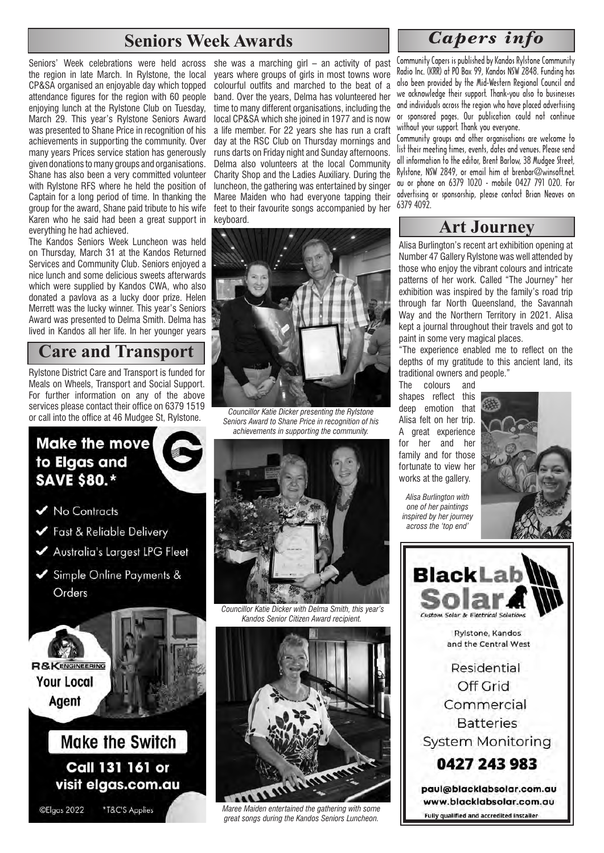## **Seniors Week Awards**

Seniors' Week celebrations were held across the region in late March. In Rylstone, the local CP&SA organised an enjoyable day which topped attendance figures for the region with 60 people enjoying lunch at the Rylstone Club on Tuesday, March 29. This year's Rylstone Seniors Award was presented to Shane Price in recognition of his achievements in supporting the community. Over many years Prices service station has generously given donations to many groups and organisations. Shane has also been a very committed volunteer with Rylstone RFS where he held the position of Captain for a long period of time. In thanking the group for the award, Shane paid tribute to his wife Karen who he said had been a great support in everything he had achieved.

The Kandos Seniors Week Luncheon was held on Thursday, March 31 at the Kandos Returned Services and Community Club. Seniors enjoyed a nice lunch and some delicious sweets afterwards which were supplied by Kandos CWA, who also donated a pavlova as a lucky door prize. Helen Merrett was the lucky winner. This year's Seniors Award was presented to Delma Smith. Delma has lived in Kandos all her life. In her younger years

# **Care and Transport**

Rylstone District Care and Transport is funded for Meals on Wheels, Transport and Social Support. For further information on any of the above services please contact their office on 6379 1519 or call into the office at 46 Mudgee St, Rylstone.

### **Make the move** to Elgas and **SAVE \$80.\***

✔ No Contracts

- Fast & Reliable Delivery
- Australia's Largest LPG Fleet
- Simple Online Payments & Orders

**R&KENGINEERING Your Local** Agent

# **Make the Switch** Call 131 161 or visit elgas.com.au

©Elgas 2022

\*T&C'S Applies

she was a marching girl – an activity of past years where groups of girls in most towns wore colourful outfits and marched to the beat of a band. Over the years, Delma has volunteered her time to many different organisations, including the local CP&SA which she joined in 1977 and is now a life member. For 22 years she has run a craft day at the RSC Club on Thursday mornings and runs darts on Friday night and Sunday afternoons. Delma also volunteers at the local Community Charity Shop and the Ladies Auxiliary. During the luncheon, the gathering was entertained by singer Maree Maiden who had everyone tapping their feet to their favourite songs accompanied by her keyboard.



*Councillor Katie Dicker presenting the Rylstone Seniors Award to Shane Price in recognition of his achievements in supporting the community.*



 *Councillor Katie Dicker with Delma Smith, this year's Kandos Senior Citizen Award recipient.*



*Maree Maiden entertained the gathering with some great songs during the Kandos Seniors Luncheon.*

## *Capers info*

Community Capers is published by Kandos Rylstone Community Radio Inc. (KRR) at PO Box 99, Kandos NSW 2848. Funding has also been provided by the Mid-Western Regional Council and we acknowledge their support. Thank-you also to businesses and individuals across the region who have placed advertising or sponsored pages. Our publication could not continue without your support. Thank you everyone.

Community groups and other organisations are welcome to list their meeting times, events, dates and venues. Please send all information to the editor, Brent Barlow, 38 Mudgee Street, Rylstone, NSW 2849, or email him at brenbar@winsoft.net. au or phone on 6379 1020 - mobile 0427 791 020. For advertising or sponsorship, please contact Brian Neaves on 6379 4092.

### **Art Journey**

Alisa Burlington's recent art exhibition opening at Number 47 Gallery Rylstone was well attended by those who enjoy the vibrant colours and intricate patterns of her work. Called "The Journey" her exhibition was inspired by the family's road trip through far North Queensland, the Savannah Way and the Northern Territory in 2021. Alisa kept a journal throughout their travels and got to paint in some very magical places.

"The experience enabled me to reflect on the depths of my gratitude to this ancient land, its traditional owners and people."

The colours and shapes reflect this deep emotion that Alisa felt on her trip. A great experience for her and her family and for those fortunate to view her works at the gallery.

*Alisa Burlington with* 







www.blacklabsolar.com.au **Fully qualified and accredited installer**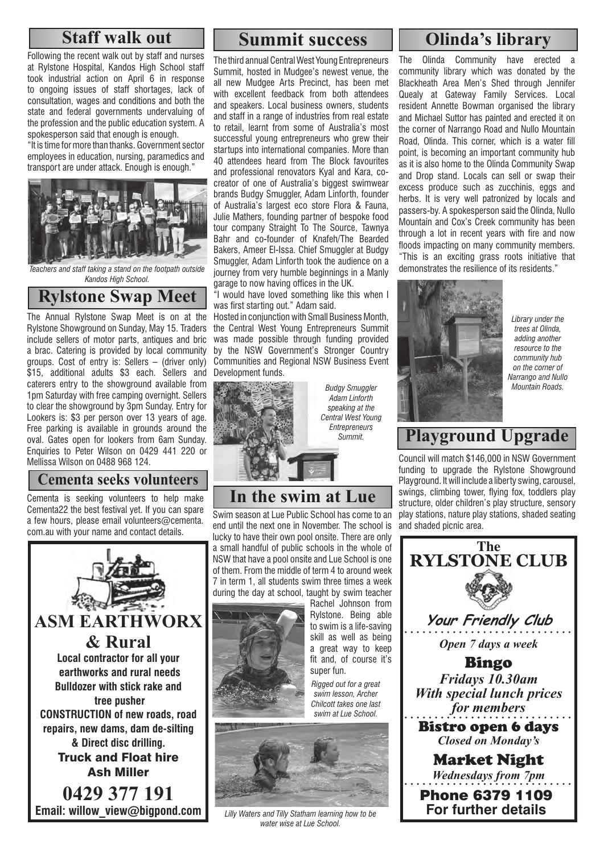### **Staff walk out**

Following the recent walk out by staff and nurses at Rylstone Hospital, Kandos High School staff took industrial action on April 6 in response to ongoing issues of staff shortages, lack of consultation, wages and conditions and both the state and federal governments undervaluing of the profession and the public education system. A spokesperson said that enough is enough.

"It is time for more than thanks. Government sector employees in education, nursing, paramedics and transport are under attack. Enough is enough."



*Teachers and staff taking a stand on the footpath outside Kandos High School.*

### **Rylstone Swap Meet**

The Annual Rylstone Swap Meet is on at the Rylstone Showground on Sunday, May 15. Traders include sellers of motor parts, antiques and bric a brac. Catering is provided by local community groups. Cost of entry is: Sellers – (driver only) \$15, additional adults \$3 each. Sellers and caterers entry to the showground available from 1pm Saturday with free camping overnight. Sellers to clear the showground by 3pm Sunday. Entry for Lookers is: \$3 per person over 13 years of age. Free parking is available in grounds around the oval. Gates open for lookers from 6am Sunday. Enquiries to Peter Wilson on 0429 441 220 or Mellissa Wilson on 0488 968 124.

### **Cementa seeks volunteers**

Cementa is seeking volunteers to help make Cementa22 the best festival yet. If you can spare a few hours, please email volunteers@cementa. com.au with your name and contact details.



## **Summit success Olinda's library**

The third annual Central West Young Entrepreneurs Summit, hosted in Mudgee's newest venue, the all new Mudgee Arts Precinct, has been met with excellent feedback from both attendees and speakers. Local business owners, students and staff in a range of industries from real estate to retail, learnt from some of Australia's most successful young entrepreneurs who grew their startups into international companies. More than 40 attendees heard from The Block favourites and professional renovators Kyal and Kara, cocreator of one of Australia's biggest swimwear brands Budgy Smuggler, Adam Linforth, founder of Australia's largest eco store Flora & Fauna, Julie Mathers, founding partner of bespoke food tour company Straight To The Source, Tawnya Bahr and co-founder of Knafeh/The Bearded Bakers, Ameer El-Issa. Chief Smuggler at Budgy Smuggler, Adam Linforth took the audience on a journey from very humble beginnings in a Manly garage to now having offices in the UK.

"I would have loved something like this when I was first starting out." Adam said.

Hosted in conjunction with Small Business Month, the Central West Young Entrepreneurs Summit was made possible through funding provided by the NSW Government's Stronger Country Communities and Regional NSW Business Event Development funds.



*Budgy Smuggler Adam Linforth speaking at the Central West Young Entrepreneurs Summit.*

# **In the swim at Lue**

Swim season at Lue Public School has come to an end until the next one in November. The school is lucky to have their own pool onsite. There are only a small handful of public schools in the whole of NSW that have a pool onsite and Lue School is one of them. From the middle of term 4 to around week 7 in term 1, all students swim three times a week during the day at school, taught by swim teacher



Rachel Johnson from Rylstone. Being able to swim is a life-saving skill as well as being a great way to keep fit and, of course it's super fun.

*Rigged out for a great swim lesson, Archer Chilcott takes one last swim at Lue School.*



*Lilly Waters and Tilly Statham learning how to be water wise at Lue School.*

The Olinda Community have erected community library which was donated by the Blackheath Area Men's Shed through Jennifer Quealy at Gateway Family Services. Local resident Annette Bowman organised the library and Michael Suttor has painted and erected it on the corner of Narrango Road and Nullo Mountain Road, Olinda. This corner, which is a water fill point, is becoming an important community hub as it is also home to the Olinda Community Swap and Drop stand. Locals can sell or swap their excess produce such as zucchinis, eggs and herbs. It is very well patronized by locals and passers-by. A spokesperson said the Olinda, Nullo Mountain and Cox's Creek community has been through a lot in recent years with fire and now floods impacting on many community members. "This is an exciting grass roots initiative that demonstrates the resilience of its residents."



*Library under the trees at Olinda, adding another resource to the community hub on the corner of Narrango and Nullo Mountain Roads.*

# **Playground Upgrade**

Council will match \$146,000 in NSW Government funding to upgrade the Rylstone Showground Playground. It will include a liberty swing, carousel, swings, climbing tower, flying fox, toddlers play structure, older children's play structure, sensory play stations, nature play stations, shaded seating and shaded picnic area.